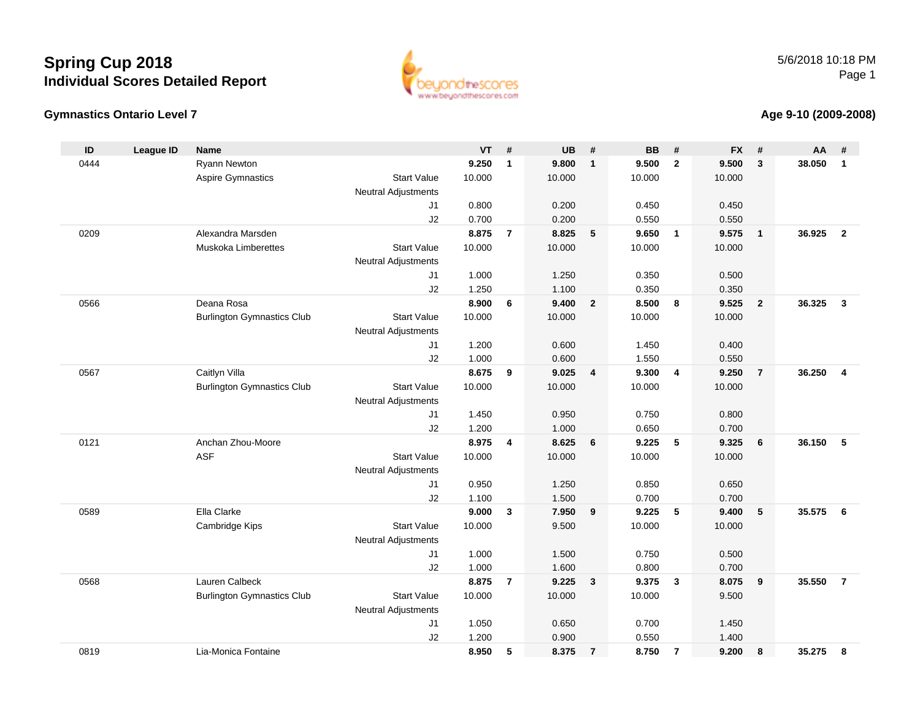



#### **Age 9-10 (2009-2008)**

| ID   | <b>League ID</b> | <b>Name</b>                       |                            | <b>VT</b> | #              | <b>UB</b> | #              | <b>BB</b> | #                       | <b>FX</b> | #              | AA     | #              |
|------|------------------|-----------------------------------|----------------------------|-----------|----------------|-----------|----------------|-----------|-------------------------|-----------|----------------|--------|----------------|
| 0444 |                  | Ryann Newton                      |                            | 9.250     | $\mathbf{1}$   | 9.800     | $\overline{1}$ | 9.500     | $\mathbf{2}$            | 9.500     | 3              | 38.050 | $\mathbf{1}$   |
|      |                  | Aspire Gymnastics                 | <b>Start Value</b>         | 10.000    |                | 10.000    |                | 10.000    |                         | 10.000    |                |        |                |
|      |                  |                                   | <b>Neutral Adjustments</b> |           |                |           |                |           |                         |           |                |        |                |
|      |                  |                                   | J1                         | 0.800     |                | 0.200     |                | 0.450     |                         | 0.450     |                |        |                |
|      |                  |                                   | J2                         | 0.700     |                | 0.200     |                | 0.550     |                         | 0.550     |                |        |                |
| 0209 |                  | Alexandra Marsden                 |                            | 8.875     | $\overline{7}$ | 8.825     | 5              | 9.650     | $\overline{\mathbf{1}}$ | 9.575     | $\mathbf{1}$   | 36.925 | $\overline{2}$ |
|      |                  | Muskoka Limberettes               | <b>Start Value</b>         | 10.000    |                | 10.000    |                | 10.000    |                         | 10.000    |                |        |                |
|      |                  |                                   | Neutral Adjustments        |           |                |           |                |           |                         |           |                |        |                |
|      |                  |                                   | J1                         | 1.000     |                | 1.250     |                | 0.350     |                         | 0.500     |                |        |                |
|      |                  |                                   | J2                         | 1.250     |                | 1.100     |                | 0.350     |                         | 0.350     |                |        |                |
| 0566 |                  | Deana Rosa                        |                            | 8.900     | 6              | 9.400     | $\overline{2}$ | 8.500     | 8                       | 9.525     | $\overline{2}$ | 36.325 | $\mathbf{3}$   |
|      |                  | <b>Burlington Gymnastics Club</b> | <b>Start Value</b>         | 10.000    |                | 10.000    |                | 10.000    |                         | 10.000    |                |        |                |
|      |                  |                                   | Neutral Adjustments        |           |                |           |                |           |                         |           |                |        |                |
|      |                  |                                   | J1                         | 1.200     |                | 0.600     |                | 1.450     |                         | 0.400     |                |        |                |
|      |                  |                                   | J2                         | 1.000     |                | 0.600     |                | 1.550     |                         | 0.550     |                |        |                |
| 0567 |                  | Caitlyn Villa                     |                            | 8.675     | 9              | 9.025     | $\overline{4}$ | 9.300     | $\overline{4}$          | 9.250     | $\overline{7}$ | 36.250 | $\overline{4}$ |
|      |                  | <b>Burlington Gymnastics Club</b> | <b>Start Value</b>         | 10.000    |                | 10.000    |                | 10.000    |                         | 10.000    |                |        |                |
|      |                  |                                   | Neutral Adjustments        |           |                |           |                |           |                         |           |                |        |                |
|      |                  |                                   | J1                         | 1.450     |                | 0.950     |                | 0.750     |                         | 0.800     |                |        |                |
|      |                  |                                   | J2                         | 1.200     |                | 1.000     |                | 0.650     |                         | 0.700     |                |        |                |
| 0121 |                  | Anchan Zhou-Moore                 |                            | 8.975     | 4              | 8.625     | 6              | 9.225     | 5                       | 9.325     | 6              | 36.150 | 5              |
|      |                  | <b>ASF</b>                        | <b>Start Value</b>         | 10.000    |                | 10.000    |                | 10.000    |                         | 10.000    |                |        |                |
|      |                  |                                   | Neutral Adjustments        |           |                |           |                |           |                         |           |                |        |                |
|      |                  |                                   | J1                         | 0.950     |                | 1.250     |                | 0.850     |                         | 0.650     |                |        |                |
|      |                  |                                   | J2                         | 1.100     |                | 1.500     |                | 0.700     |                         | 0.700     |                |        |                |
| 0589 |                  | Ella Clarke                       |                            | 9.000     | 3              | 7.950     | 9              | 9.225     | 5                       | 9.400     | 5              | 35.575 | 6              |
|      |                  | Cambridge Kips                    | <b>Start Value</b>         | 10.000    |                | 9.500     |                | 10.000    |                         | 10.000    |                |        |                |
|      |                  |                                   | Neutral Adjustments        |           |                |           |                |           |                         |           |                |        |                |
|      |                  |                                   | J1                         | 1.000     |                | 1.500     |                | 0.750     |                         | 0.500     |                |        |                |
|      |                  |                                   | J2                         | 1.000     |                | 1.600     |                | 0.800     |                         | 0.700     |                |        |                |
| 0568 |                  | Lauren Calbeck                    |                            | 8.875     | $\overline{7}$ | 9.225     | $\mathbf{3}$   | 9.375     | $\mathbf{3}$            | 8.075     | 9              | 35.550 | $\overline{7}$ |
|      |                  | <b>Burlington Gymnastics Club</b> | <b>Start Value</b>         | 10.000    |                | 10.000    |                | 10.000    |                         | 9.500     |                |        |                |
|      |                  |                                   | <b>Neutral Adjustments</b> |           |                |           |                |           |                         |           |                |        |                |
|      |                  |                                   | J1                         | 1.050     |                | 0.650     |                | 0.700     |                         | 1.450     |                |        |                |
|      |                  |                                   | J2                         | 1.200     |                | 0.900     |                | 0.550     |                         | 1.400     |                |        |                |
| 0819 |                  | Lia-Monica Fontaine               |                            | 8.950     | 5              | 8.375     | $\overline{7}$ | 8.750     | $\overline{7}$          | 9.200     | 8              | 35.275 | 8              |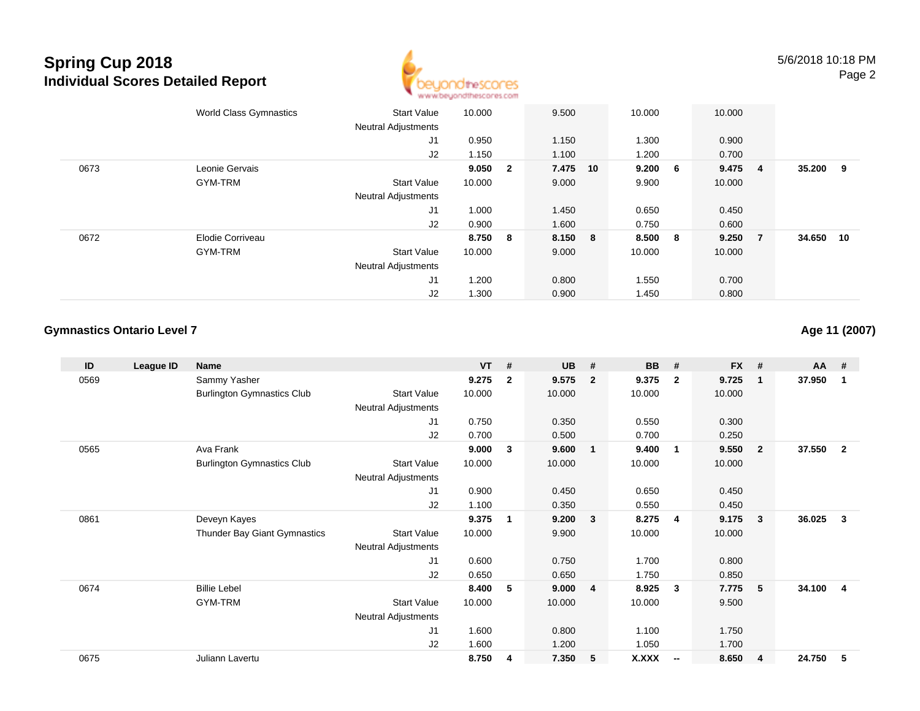

|      | <b>World Class Gymnastics</b> | <b>Start Value</b><br><b>Neutral Adjustments</b> | 10.000 |                | 9.500   | 10.000      |   | 10.000 |                |        |    |
|------|-------------------------------|--------------------------------------------------|--------|----------------|---------|-------------|---|--------|----------------|--------|----|
|      |                               | J1                                               | 0.950  |                | 1.150   | 1.300       |   | 0.900  |                |        |    |
|      |                               | J2                                               | 1.150  |                | 1.100   | 1.200       |   | 0.700  |                |        |    |
| 0673 | Leonie Gervais                |                                                  | 9.050  | $\overline{2}$ | 7.475   | 9.200<br>10 | 6 | 9.475  | $\overline{4}$ | 35.200 | 9  |
|      | GYM-TRM                       | <b>Start Value</b>                               | 10.000 |                | 9.000   | 9.900       |   | 10.000 |                |        |    |
|      |                               | <b>Neutral Adjustments</b>                       |        |                |         |             |   |        |                |        |    |
|      |                               | J1                                               | 1.000  |                | 1.450   | 0.650       |   | 0.450  |                |        |    |
|      |                               | J2                                               | 0.900  |                | 1.600   | 0.750       |   | 0.600  |                |        |    |
| 0672 | Elodie Corriveau              |                                                  | 8.750  | 8              | 8.150 8 | 8.500       | 8 | 9.250  | $\overline{7}$ | 34.650 | 10 |
|      | GYM-TRM                       | <b>Start Value</b>                               | 10.000 |                | 9.000   | 10.000      |   | 10.000 |                |        |    |
|      |                               | <b>Neutral Adjustments</b>                       |        |                |         |             |   |        |                |        |    |
|      |                               | J <sub>1</sub>                                   | 1.200  |                | 0.800   | 1.550       |   | 0.700  |                |        |    |
|      |                               | J2                                               | 1.300  |                | 0.900   | 1.450       |   | 0.800  |                |        |    |

### **Gymnastics Ontario Level 7**

**Age 11 (2007)**

| ID   | League ID | <b>Name</b>                       |                            | <b>VT</b> | #            | <b>UB</b> | #                       | <b>BB</b>    | #                        | <b>FX</b> | #              | $AA$ # |                |
|------|-----------|-----------------------------------|----------------------------|-----------|--------------|-----------|-------------------------|--------------|--------------------------|-----------|----------------|--------|----------------|
| 0569 |           | Sammy Yasher                      |                            | 9.275     | $\mathbf{2}$ | 9.575     | $\overline{2}$          | 9.375        | $\overline{2}$           | 9.725     | $\mathbf{1}$   | 37.950 | 1              |
|      |           | <b>Burlington Gymnastics Club</b> | <b>Start Value</b>         | 10.000    |              | 10.000    |                         | 10.000       |                          | 10.000    |                |        |                |
|      |           |                                   | Neutral Adjustments        |           |              |           |                         |              |                          |           |                |        |                |
|      |           |                                   | J1                         | 0.750     |              | 0.350     |                         | 0.550        |                          | 0.300     |                |        |                |
|      |           |                                   | J2                         | 0.700     |              | 0.500     |                         | 0.700        |                          | 0.250     |                |        |                |
| 0565 |           | Ava Frank                         |                            | 9.000     | 3            | 9.600     | $\overline{1}$          | 9.400        | $\overline{\mathbf{1}}$  | 9.550     | $\overline{2}$ | 37.550 | $\overline{2}$ |
|      |           | <b>Burlington Gymnastics Club</b> | <b>Start Value</b>         | 10.000    |              | 10.000    |                         | 10.000       |                          | 10.000    |                |        |                |
|      |           |                                   | Neutral Adjustments        |           |              |           |                         |              |                          |           |                |        |                |
|      |           |                                   | J1                         | 0.900     |              | 0.450     |                         | 0.650        |                          | 0.450     |                |        |                |
|      |           |                                   | J2                         | 1.100     |              | 0.350     |                         | 0.550        |                          | 0.450     |                |        |                |
| 0861 |           | Deveyn Kayes                      |                            | 9.375     | 1            | 9.200     | $\overline{\mathbf{3}}$ | 8.275        | -4                       | 9.175     | 3              | 36.025 | 3              |
|      |           | Thunder Bay Giant Gymnastics      | <b>Start Value</b>         | 10.000    |              | 9.900     |                         | 10.000       |                          | 10.000    |                |        |                |
|      |           |                                   | <b>Neutral Adjustments</b> |           |              |           |                         |              |                          |           |                |        |                |
|      |           |                                   | J1                         | 0.600     |              | 0.750     |                         | 1.700        |                          | 0.800     |                |        |                |
|      |           |                                   | J2                         | 0.650     |              | 0.650     |                         | 1.750        |                          | 0.850     |                |        |                |
| 0674 |           | <b>Billie Lebel</b>               |                            | 8.400     | 5            | 9.000     | $\overline{4}$          | 8.925        | -3                       | 7.775     | 5              | 34.100 | $\overline{4}$ |
|      |           | GYM-TRM                           | <b>Start Value</b>         | 10.000    |              | 10.000    |                         | 10.000       |                          | 9.500     |                |        |                |
|      |           |                                   | Neutral Adjustments        |           |              |           |                         |              |                          |           |                |        |                |
|      |           |                                   | J1                         | 1.600     |              | 0.800     |                         | 1.100        |                          | 1.750     |                |        |                |
|      |           |                                   | J2                         | 1.600     |              | 1.200     |                         | 1.050        |                          | 1.700     |                |        |                |
| 0675 |           | Juliann Lavertu                   |                            | 8.750     | 4            | 7.350     | 5                       | <b>X.XXX</b> | $\overline{\phantom{a}}$ | 8.650     | 4              | 24.750 | 5              |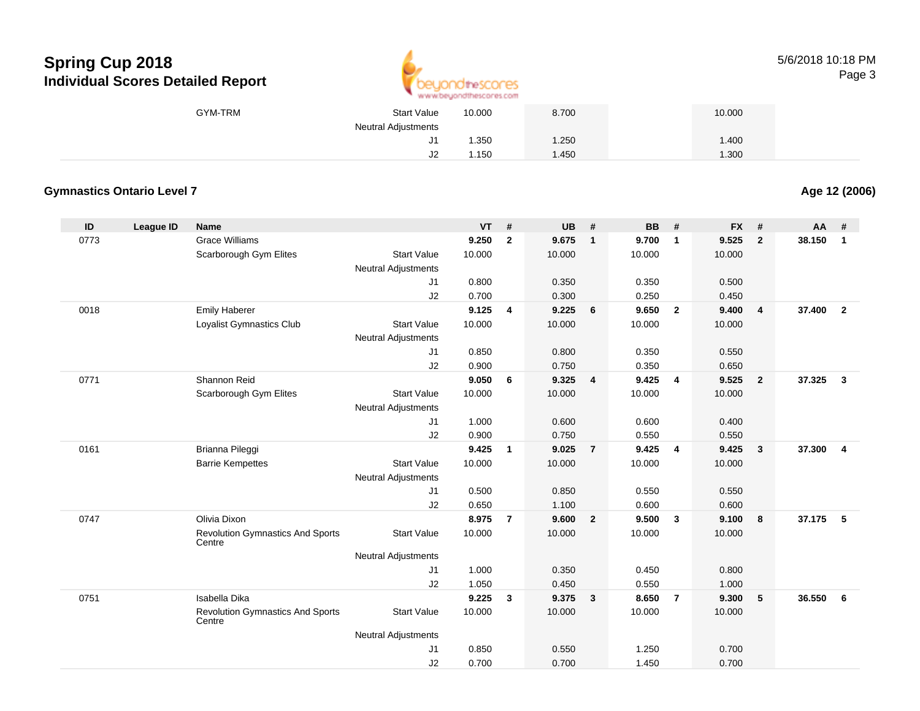

5/6/2018 10:18 PMPage 3

| GYM-TRM | <b>Start Value</b>  | 10.000 | 8.700 | 10.000 |
|---------|---------------------|--------|-------|--------|
|         | Neutral Adjustments |        |       |        |
|         | J1                  | 1.350  | .250  | 1.400  |
|         | J2                  | 1.150  | . 450 | 1.300  |

### **Gymnastics Ontario Level 7**

**Age 12 (2006)**

| ID   | League ID | <b>Name</b>                                       |                            | <b>VT</b> | #              | <b>UB</b> | #              | <b>BB</b> | #                       | <b>FX</b> | #              | <b>AA</b> | #              |
|------|-----------|---------------------------------------------------|----------------------------|-----------|----------------|-----------|----------------|-----------|-------------------------|-----------|----------------|-----------|----------------|
| 0773 |           | <b>Grace Williams</b>                             |                            | 9.250     | $\overline{2}$ | 9.675     | $\mathbf{1}$   | 9.700     | $\overline{1}$          | 9.525     | $\overline{2}$ | 38.150    | $\mathbf{1}$   |
|      |           | Scarborough Gym Elites                            | <b>Start Value</b>         | 10.000    |                | 10.000    |                | 10.000    |                         | 10.000    |                |           |                |
|      |           |                                                   | <b>Neutral Adjustments</b> |           |                |           |                |           |                         |           |                |           |                |
|      |           |                                                   | J1                         | 0.800     |                | 0.350     |                | 0.350     |                         | 0.500     |                |           |                |
|      |           |                                                   | J2                         | 0.700     |                | 0.300     |                | 0.250     |                         | 0.450     |                |           |                |
| 0018 |           | <b>Emily Haberer</b>                              |                            | 9.125     | $\overline{4}$ | 9.225     | 6              | 9.650     | $\overline{2}$          | 9.400     | $\overline{4}$ | 37,400    | $\overline{2}$ |
|      |           | Loyalist Gymnastics Club                          | <b>Start Value</b>         | 10.000    |                | 10.000    |                | 10.000    |                         | 10.000    |                |           |                |
|      |           |                                                   | <b>Neutral Adjustments</b> |           |                |           |                |           |                         |           |                |           |                |
|      |           |                                                   | J1                         | 0.850     |                | 0.800     |                | 0.350     |                         | 0.550     |                |           |                |
|      |           |                                                   | J2                         | 0.900     |                | 0.750     |                | 0.350     |                         | 0.650     |                |           |                |
| 0771 |           | Shannon Reid                                      |                            | 9.050     | 6              | 9.325     | $\overline{4}$ | 9.425     | $\overline{4}$          | 9.525     | $\overline{2}$ | 37.325    | $\mathbf{3}$   |
|      |           | Scarborough Gym Elites                            | <b>Start Value</b>         | 10.000    |                | 10.000    |                | 10.000    |                         | 10.000    |                |           |                |
|      |           |                                                   | <b>Neutral Adjustments</b> |           |                |           |                |           |                         |           |                |           |                |
|      |           |                                                   | J1                         | 1.000     |                | 0.600     |                | 0.600     |                         | 0.400     |                |           |                |
|      |           |                                                   | J2                         | 0.900     |                | 0.750     |                | 0.550     |                         | 0.550     |                |           |                |
| 0161 |           | Brianna Pileggi                                   |                            | 9.425     | 1              | 9.025     | $\overline{7}$ | 9.425     | 4                       | 9.425     | $\mathbf{3}$   | 37.300    | $\overline{4}$ |
|      |           | <b>Barrie Kempettes</b>                           | <b>Start Value</b>         | 10.000    |                | 10.000    |                | 10.000    |                         | 10.000    |                |           |                |
|      |           |                                                   | <b>Neutral Adjustments</b> |           |                |           |                |           |                         |           |                |           |                |
|      |           |                                                   | J1                         | 0.500     |                | 0.850     |                | 0.550     |                         | 0.550     |                |           |                |
|      |           |                                                   | J2                         | 0.650     |                | 1.100     |                | 0.600     |                         | 0.600     |                |           |                |
| 0747 |           | Olivia Dixon                                      |                            | 8.975     | $\overline{7}$ | 9.600     | $\overline{2}$ | 9.500     | $\overline{\mathbf{3}}$ | 9.100     | 8              | 37.175    | 5              |
|      |           | <b>Revolution Gymnastics And Sports</b><br>Centre | <b>Start Value</b>         | 10.000    |                | 10.000    |                | 10.000    |                         | 10.000    |                |           |                |
|      |           |                                                   | Neutral Adjustments        |           |                |           |                |           |                         |           |                |           |                |
|      |           |                                                   | J1                         | 1.000     |                | 0.350     |                | 0.450     |                         | 0.800     |                |           |                |
|      |           |                                                   | J2                         | 1.050     |                | 0.450     |                | 0.550     |                         | 1.000     |                |           |                |
| 0751 |           | Isabella Dika                                     |                            | 9.225     | 3              | 9.375     | $\mathbf{3}$   | 8.650     | $\overline{7}$          | 9.300     | 5              | 36.550    | 6              |
|      |           | <b>Revolution Gymnastics And Sports</b><br>Centre | <b>Start Value</b>         | 10.000    |                | 10.000    |                | 10.000    |                         | 10.000    |                |           |                |
|      |           |                                                   | <b>Neutral Adjustments</b> |           |                |           |                |           |                         |           |                |           |                |
|      |           |                                                   | J1                         | 0.850     |                | 0.550     |                | 1.250     |                         | 0.700     |                |           |                |
|      |           |                                                   | J2                         | 0.700     |                | 0.700     |                | 1.450     |                         | 0.700     |                |           |                |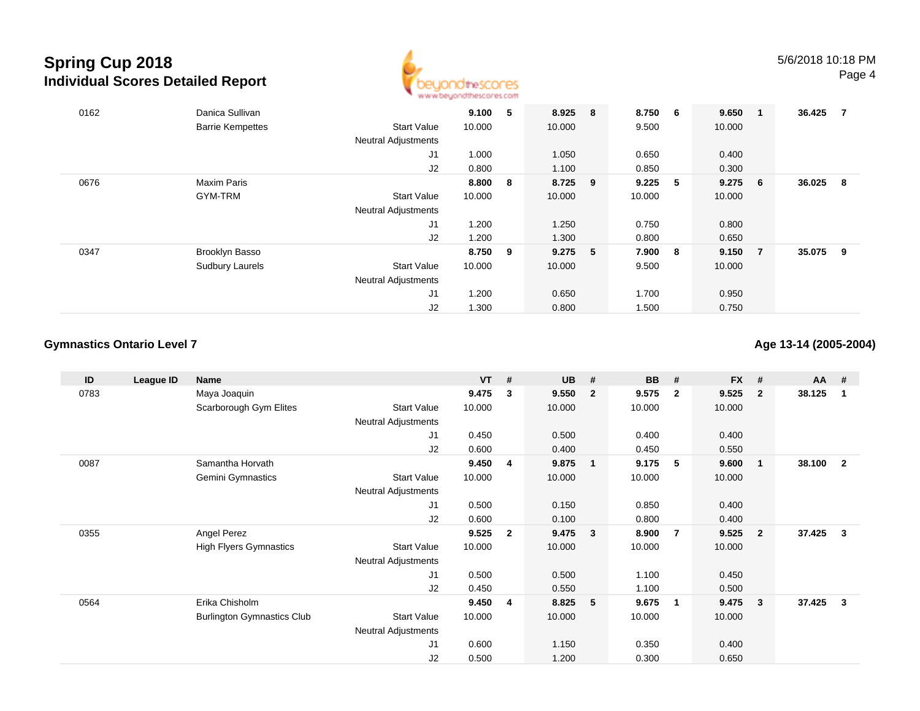

| 0162 | Danica Sullivan         |                            | 9.100  | 5   | 8.925 8   | 8.750  | $6\overline{6}$ | 9.650  | $\overline{\mathbf{1}}$ | 36.425 | 7 |
|------|-------------------------|----------------------------|--------|-----|-----------|--------|-----------------|--------|-------------------------|--------|---|
|      | <b>Barrie Kempettes</b> | <b>Start Value</b>         | 10.000 |     | 10.000    | 9.500  |                 | 10.000 |                         |        |   |
|      |                         | <b>Neutral Adjustments</b> |        |     |           |        |                 |        |                         |        |   |
|      |                         | J1                         | 1.000  |     | 1.050     | 0.650  |                 | 0.400  |                         |        |   |
|      |                         | J2                         | 0.800  |     | 1.100     | 0.850  |                 | 0.300  |                         |        |   |
| 0676 | <b>Maxim Paris</b>      |                            | 8.800  | - 8 | 8.725 9   | 9.225  | $-5$            | 9.275  | - 6                     | 36.025 | 8 |
|      | GYM-TRM                 | <b>Start Value</b>         | 10.000 |     | 10.000    | 10.000 |                 | 10.000 |                         |        |   |
|      |                         | <b>Neutral Adjustments</b> |        |     |           |        |                 |        |                         |        |   |
|      |                         | J <sub>1</sub>             | 1.200  |     | 1.250     | 0.750  |                 | 0.800  |                         |        |   |
|      |                         | J2                         | 1.200  |     | 1.300     | 0.800  |                 | 0.650  |                         |        |   |
| 0347 | Brooklyn Basso          |                            | 8.750  | - 9 | $9.275$ 5 | 7.900  | - 8             | 9.150  | - 7                     | 35.075 | 9 |
|      | <b>Sudbury Laurels</b>  | Start Value                | 10.000 |     | 10.000    | 9.500  |                 | 10.000 |                         |        |   |
|      |                         | <b>Neutral Adjustments</b> |        |     |           |        |                 |        |                         |        |   |
|      |                         | J1                         | 1.200  |     | 0.650     | 1.700  |                 | 0.950  |                         |        |   |
|      |                         | J2                         | 1.300  |     | 0.800     | 1.500  |                 | 0.750  |                         |        |   |

### **Gymnastics Ontario Level 7**

**Age 13-14 (2005-2004)**

| ID   | League ID | Name                              |                            | <b>VT</b> | #              | <b>UB</b> | #              | <b>BB</b> | #                       | $FX$ # |                         | <b>AA</b> | - #                     |
|------|-----------|-----------------------------------|----------------------------|-----------|----------------|-----------|----------------|-----------|-------------------------|--------|-------------------------|-----------|-------------------------|
| 0783 |           | Maya Joaquin                      |                            | 9.475     | 3              | 9.550     | $\overline{2}$ | 9.575     | $\overline{2}$          | 9.525  | $\overline{\mathbf{2}}$ | 38.125    | $\overline{1}$          |
|      |           | Scarborough Gym Elites            | <b>Start Value</b>         | 10.000    |                | 10.000    |                | 10.000    |                         | 10.000 |                         |           |                         |
|      |           |                                   | Neutral Adjustments        |           |                |           |                |           |                         |        |                         |           |                         |
|      |           |                                   | J1                         | 0.450     |                | 0.500     |                | 0.400     |                         | 0.400  |                         |           |                         |
|      |           |                                   | J2                         | 0.600     |                | 0.400     |                | 0.450     |                         | 0.550  |                         |           |                         |
| 0087 |           | Samantha Horvath                  |                            | 9.450     | 4              | 9.875     | $\mathbf{1}$   | 9.175     | 5                       | 9.600  | $\blacksquare$          | 38.100    | $\overline{\mathbf{2}}$ |
|      |           | Gemini Gymnastics                 | <b>Start Value</b>         | 10.000    |                | 10.000    |                | 10.000    |                         | 10.000 |                         |           |                         |
|      |           |                                   | <b>Neutral Adjustments</b> |           |                |           |                |           |                         |        |                         |           |                         |
|      |           |                                   | J1                         | 0.500     |                | 0.150     |                | 0.850     |                         | 0.400  |                         |           |                         |
|      |           |                                   | J2                         | 0.600     |                | 0.100     |                | 0.800     |                         | 0.400  |                         |           |                         |
| 0355 |           | Angel Perez                       |                            | 9.525     | $\overline{2}$ | 9.475     | $\mathbf{3}$   | 8.900     | $\overline{7}$          | 9.525  | $\overline{\mathbf{2}}$ | 37.425    | $\overline{\mathbf{3}}$ |
|      |           | <b>High Flyers Gymnastics</b>     | <b>Start Value</b>         | 10.000    |                | 10.000    |                | 10.000    |                         | 10.000 |                         |           |                         |
|      |           |                                   | <b>Neutral Adjustments</b> |           |                |           |                |           |                         |        |                         |           |                         |
|      |           |                                   | J1                         | 0.500     |                | 0.500     |                | 1.100     |                         | 0.450  |                         |           |                         |
|      |           |                                   | J2                         | 0.450     |                | 0.550     |                | 1.100     |                         | 0.500  |                         |           |                         |
| 0564 |           | Erika Chisholm                    |                            | 9.450     | 4              | 8.825     | 5              | 9.675     | $\overline{\mathbf{1}}$ | 9.475  | $\overline{\mathbf{3}}$ | 37.425    | -3                      |
|      |           | <b>Burlington Gymnastics Club</b> | <b>Start Value</b>         | 10.000    |                | 10.000    |                | 10.000    |                         | 10.000 |                         |           |                         |
|      |           |                                   | <b>Neutral Adjustments</b> |           |                |           |                |           |                         |        |                         |           |                         |
|      |           |                                   | J1                         | 0.600     |                | 1.150     |                | 0.350     |                         | 0.400  |                         |           |                         |
|      |           |                                   | J <sub>2</sub>             | 0.500     |                | 1.200     |                | 0.300     |                         | 0.650  |                         |           |                         |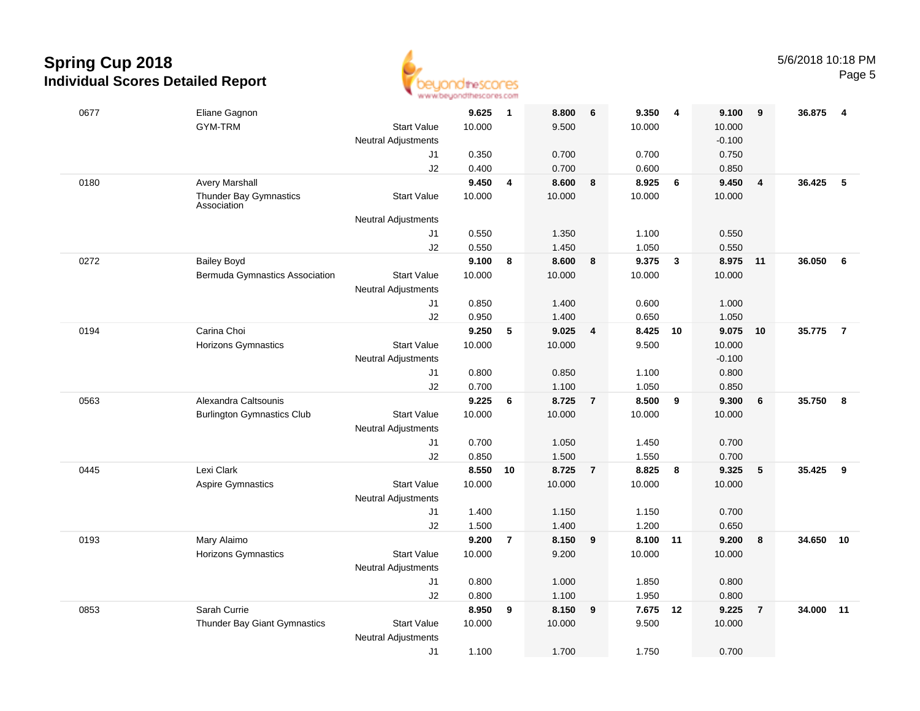

| 0677 | Eliane Gagnon                         |                                                  | 9.625  | $\overline{\mathbf{1}}$ | 8.800  | 6                       | 9.350  | 4            | 9.100    | 9              | 36.875    | - 4            |
|------|---------------------------------------|--------------------------------------------------|--------|-------------------------|--------|-------------------------|--------|--------------|----------|----------------|-----------|----------------|
|      | GYM-TRM                               | <b>Start Value</b>                               | 10.000 |                         | 9.500  |                         | 10.000 |              | 10.000   |                |           |                |
|      |                                       | <b>Neutral Adjustments</b>                       |        |                         |        |                         |        |              | $-0.100$ |                |           |                |
|      |                                       | J1                                               | 0.350  |                         | 0.700  |                         | 0.700  |              | 0.750    |                |           |                |
|      |                                       | J2                                               | 0.400  |                         | 0.700  |                         | 0.600  |              | 0.850    |                |           |                |
| 0180 | <b>Avery Marshall</b>                 |                                                  | 9.450  | 4                       | 8.600  | 8                       | 8.925  | 6            | 9.450    | 4              | 36.425    | 5              |
|      | Thunder Bay Gymnastics<br>Association | <b>Start Value</b>                               | 10.000 |                         | 10.000 |                         | 10.000 |              | 10.000   |                |           |                |
|      |                                       | <b>Neutral Adjustments</b>                       |        |                         |        |                         |        |              |          |                |           |                |
|      |                                       | J1                                               | 0.550  |                         | 1.350  |                         | 1.100  |              | 0.550    |                |           |                |
|      |                                       | J2                                               | 0.550  |                         | 1.450  |                         | 1.050  |              | 0.550    |                |           |                |
| 0272 | <b>Bailey Boyd</b>                    |                                                  | 9.100  | 8                       | 8.600  | 8                       | 9.375  | $\mathbf{3}$ | 8.975    | 11             | 36.050    | 6              |
|      | <b>Bermuda Gymnastics Association</b> | <b>Start Value</b><br><b>Neutral Adjustments</b> | 10.000 |                         | 10.000 |                         | 10.000 |              | 10.000   |                |           |                |
|      |                                       | J1                                               | 0.850  |                         | 1.400  |                         | 0.600  |              | 1.000    |                |           |                |
|      |                                       | J2                                               | 0.950  |                         | 1.400  |                         | 0.650  |              | 1.050    |                |           |                |
| 0194 | Carina Choi                           |                                                  | 9.250  | 5                       | 9.025  | $\overline{4}$          | 8.425  | 10           | 9.075    | 10             | 35.775    | $\overline{7}$ |
|      | <b>Horizons Gymnastics</b>            | <b>Start Value</b>                               | 10.000 |                         | 10.000 |                         | 9.500  |              | 10.000   |                |           |                |
|      |                                       | <b>Neutral Adjustments</b>                       |        |                         |        |                         |        |              | $-0.100$ |                |           |                |
|      |                                       | J1                                               | 0.800  |                         | 0.850  |                         | 1.100  |              | 0.800    |                |           |                |
|      |                                       | J2                                               | 0.700  |                         | 1.100  |                         | 1.050  |              | 0.850    |                |           |                |
| 0563 | Alexandra Caltsounis                  |                                                  | 9.225  | 6                       | 8.725  | $\overline{7}$          | 8.500  | 9            | 9.300    | 6              | 35.750    | 8              |
|      | <b>Burlington Gymnastics Club</b>     | <b>Start Value</b><br><b>Neutral Adjustments</b> | 10.000 |                         | 10.000 |                         | 10.000 |              | 10.000   |                |           |                |
|      |                                       | J1                                               | 0.700  |                         | 1.050  |                         | 1.450  |              | 0.700    |                |           |                |
|      |                                       | J2                                               | 0.850  |                         | 1.500  |                         | 1.550  |              | 0.700    |                |           |                |
| 0445 | Lexi Clark                            |                                                  | 8.550  | 10                      | 8.725  | $\overline{7}$          | 8.825  | 8            | 9.325    | 5              | 35.425    | 9              |
|      | Aspire Gymnastics                     | <b>Start Value</b>                               | 10.000 |                         | 10.000 |                         | 10.000 |              | 10.000   |                |           |                |
|      |                                       | <b>Neutral Adjustments</b>                       |        |                         |        |                         |        |              |          |                |           |                |
|      |                                       | J1                                               | 1.400  |                         | 1.150  |                         | 1.150  |              | 0.700    |                |           |                |
|      |                                       | J2                                               | 1.500  |                         | 1.400  |                         | 1.200  |              | 0.650    |                |           |                |
| 0193 | Mary Alaimo                           |                                                  | 9.200  | $\overline{7}$          | 8.150  | $\overline{\mathbf{9}}$ | 8.100  | 11           | 9.200    | 8              | 34.650 10 |                |
|      | <b>Horizons Gymnastics</b>            | <b>Start Value</b>                               | 10.000 |                         | 9.200  |                         | 10.000 |              | 10.000   |                |           |                |
|      |                                       | <b>Neutral Adjustments</b>                       |        |                         |        |                         |        |              |          |                |           |                |
|      |                                       | J1                                               | 0.800  |                         | 1.000  |                         | 1.850  |              | 0.800    |                |           |                |
|      |                                       | J2                                               | 0.800  |                         | 1.100  |                         | 1.950  |              | 0.800    |                |           |                |
| 0853 | Sarah Currie                          |                                                  | 8.950  | 9                       | 8.150  | 9                       | 7.675  | 12           | 9.225    | $\overline{7}$ | 34.000    | $-11$          |
|      | Thunder Bay Giant Gymnastics          | <b>Start Value</b>                               | 10.000 |                         | 10.000 |                         | 9.500  |              | 10.000   |                |           |                |
|      |                                       | <b>Neutral Adjustments</b>                       |        |                         |        |                         |        |              |          |                |           |                |
|      |                                       | J1                                               | 1.100  |                         | 1.700  |                         | 1.750  |              | 0.700    |                |           |                |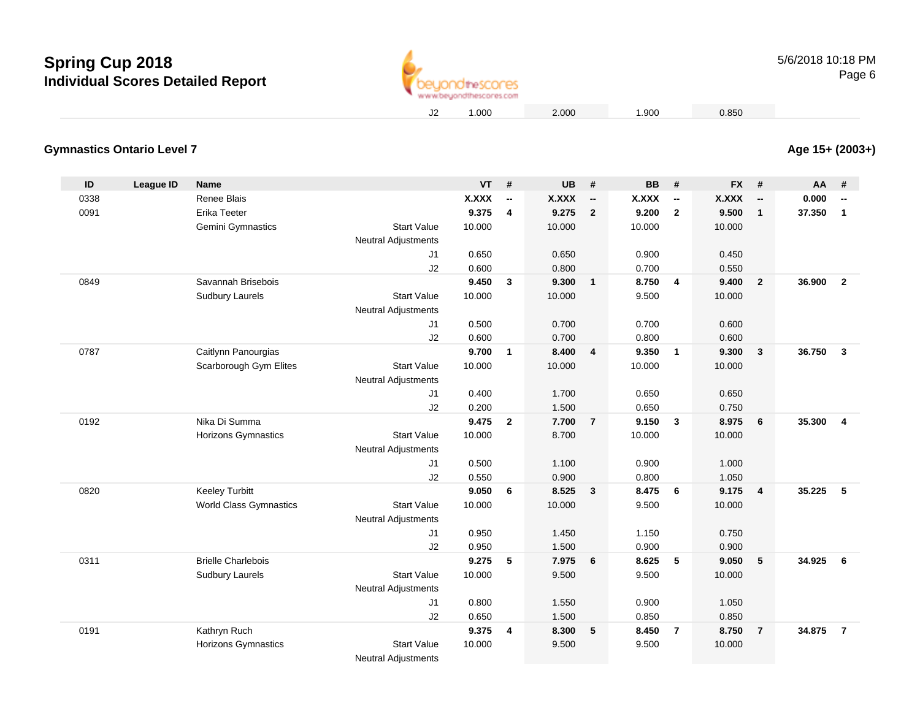

**Age 15+ (2003+)**

### **Gymnastics Ontario Level 7**

| ID   | League ID | <b>Name</b>                   |                            | VT           | $\pmb{\#}$               | <b>UB</b>    | #                        | <b>BB</b>    | #                        | <b>FX</b>    | #                        | AA     | #                        |
|------|-----------|-------------------------------|----------------------------|--------------|--------------------------|--------------|--------------------------|--------------|--------------------------|--------------|--------------------------|--------|--------------------------|
| 0338 |           | Renee Blais                   |                            | <b>X.XXX</b> | $\overline{\phantom{a}}$ | <b>X.XXX</b> | $\overline{\phantom{a}}$ | <b>X.XXX</b> | $\overline{\phantom{a}}$ | <b>X.XXX</b> | $\overline{\phantom{a}}$ | 0.000  | $\overline{\phantom{a}}$ |
| 0091 |           | Erika Teeter                  |                            | 9.375        | 4                        | 9.275        | $\overline{2}$           | 9.200        | $\overline{2}$           | 9.500        | $\mathbf{1}$             | 37.350 | $\mathbf{1}$             |
|      |           | Gemini Gymnastics             | <b>Start Value</b>         | 10.000       |                          | 10.000       |                          | 10.000       |                          | 10.000       |                          |        |                          |
|      |           |                               | <b>Neutral Adjustments</b> |              |                          |              |                          |              |                          |              |                          |        |                          |
|      |           |                               | J1                         | 0.650        |                          | 0.650        |                          | 0.900        |                          | 0.450        |                          |        |                          |
|      |           |                               | J2                         | 0.600        |                          | 0.800        |                          | 0.700        |                          | 0.550        |                          |        |                          |
| 0849 |           | Savannah Brisebois            |                            | 9.450        | 3                        | 9.300        | $\overline{\mathbf{1}}$  | 8.750        | $\overline{\mathbf{4}}$  | 9.400        | $\overline{2}$           | 36.900 | $\overline{2}$           |
|      |           | <b>Sudbury Laurels</b>        | <b>Start Value</b>         | 10.000       |                          | 10.000       |                          | 9.500        |                          | 10.000       |                          |        |                          |
|      |           |                               | <b>Neutral Adjustments</b> |              |                          |              |                          |              |                          |              |                          |        |                          |
|      |           |                               | J1                         | 0.500        |                          | 0.700        |                          | 0.700        |                          | 0.600        |                          |        |                          |
|      |           |                               | J2                         | 0.600        |                          | 0.700        |                          | 0.800        |                          | 0.600        |                          |        |                          |
| 0787 |           | Caitlynn Panourgias           |                            | 9.700        | $\mathbf{1}$             | 8.400        | $\overline{4}$           | 9.350        | $\overline{\mathbf{1}}$  | 9.300        | $\mathbf{3}$             | 36.750 | $\overline{\mathbf{3}}$  |
|      |           | Scarborough Gym Elites        | <b>Start Value</b>         | 10.000       |                          | 10.000       |                          | 10.000       |                          | 10.000       |                          |        |                          |
|      |           |                               | Neutral Adjustments        |              |                          |              |                          |              |                          |              |                          |        |                          |
|      |           |                               | J1                         | 0.400        |                          | 1.700        |                          | 0.650        |                          | 0.650        |                          |        |                          |
|      |           |                               | J2                         | 0.200        |                          | 1.500        |                          | 0.650        |                          | 0.750        |                          |        |                          |
| 0192 |           | Nika Di Summa                 |                            | 9.475        | $\overline{2}$           | 7.700        | $\overline{7}$           | 9.150        | $\overline{\mathbf{3}}$  | 8.975        | 6                        | 35.300 | 4                        |
|      |           | <b>Horizons Gymnastics</b>    | <b>Start Value</b>         | 10.000       |                          | 8.700        |                          | 10.000       |                          | 10.000       |                          |        |                          |
|      |           |                               | <b>Neutral Adjustments</b> |              |                          |              |                          |              |                          |              |                          |        |                          |
|      |           |                               | J1                         | 0.500        |                          | 1.100        |                          | 0.900        |                          | 1.000        |                          |        |                          |
|      |           |                               | J2                         | 0.550        |                          | 0.900        |                          | 0.800        |                          | 1.050        |                          |        |                          |
| 0820 |           | <b>Keeley Turbitt</b>         |                            | 9.050        | 6                        | 8.525        | $\mathbf{3}$             | 8.475        | $6\phantom{1}6$          | 9.175        | $\overline{\mathbf{4}}$  | 35.225 | 5                        |
|      |           | <b>World Class Gymnastics</b> | <b>Start Value</b>         | 10.000       |                          | 10.000       |                          | 9.500        |                          | 10.000       |                          |        |                          |
|      |           |                               | <b>Neutral Adjustments</b> |              |                          |              |                          |              |                          |              |                          |        |                          |
|      |           |                               | J1                         | 0.950        |                          | 1.450        |                          | 1.150        |                          | 0.750        |                          |        |                          |
|      |           |                               | J2                         | 0.950        |                          | 1.500        |                          | 0.900        |                          | 0.900        |                          |        |                          |
| 0311 |           | <b>Brielle Charlebois</b>     |                            | 9.275        | 5                        | 7.975        | 6                        | 8.625        | 5                        | 9.050        | 5                        | 34.925 | 6                        |
|      |           | <b>Sudbury Laurels</b>        | <b>Start Value</b>         | 10.000       |                          | 9.500        |                          | 9.500        |                          | 10.000       |                          |        |                          |
|      |           |                               | <b>Neutral Adjustments</b> |              |                          |              |                          |              |                          |              |                          |        |                          |
|      |           |                               | J1                         | 0.800        |                          | 1.550        |                          | 0.900        |                          | 1.050        |                          |        |                          |
|      |           |                               | J2                         | 0.650        |                          | 1.500        |                          | 0.850        |                          | 0.850        |                          |        |                          |
| 0191 |           | Kathryn Ruch                  |                            | 9.375        | 4                        | 8.300        | 5                        | 8.450        | $\overline{7}$           | 8.750        | $\overline{7}$           | 34.875 | $\overline{7}$           |
|      |           | Horizons Gymnastics           | <b>Start Value</b>         | 10.000       |                          | 9.500        |                          | 9.500        |                          | 10.000       |                          |        |                          |
|      |           |                               | <b>Neutral Adjustments</b> |              |                          |              |                          |              |                          |              |                          |        |                          |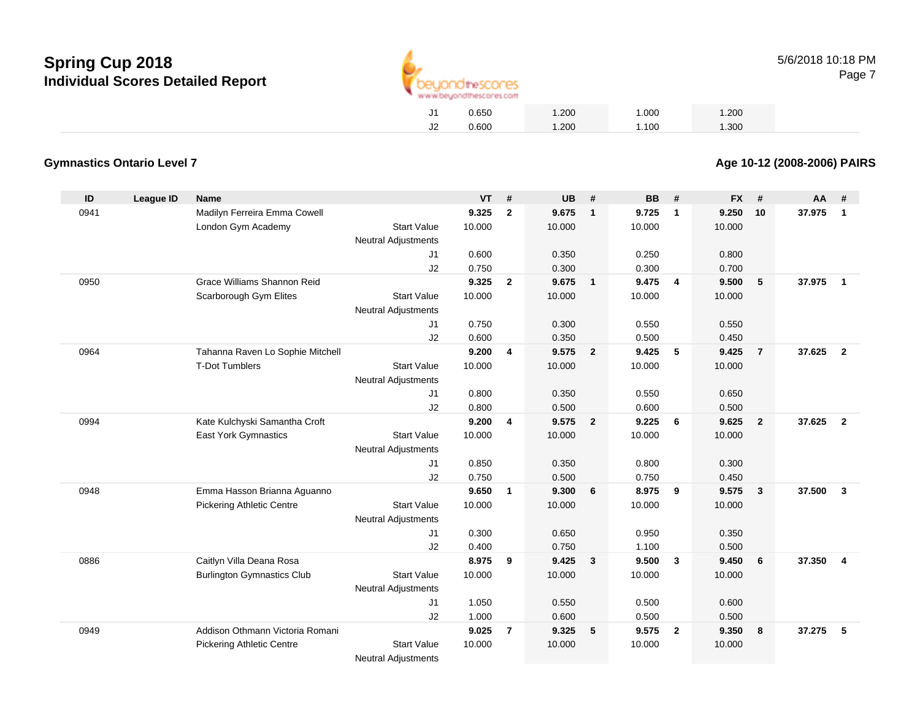

|    | 0.650 | 1.200 | 1.000 | 1.200 |
|----|-------|-------|-------|-------|
| J2 | 0.600 | 1.200 | 1.100 | 1.300 |

### **Gymnastics Ontario Level 7**

**Age 10-12 (2008-2006) PAIRS**

| ID   | <b>League ID</b> | <b>Name</b>                       |                            | <b>VT</b> | #              | <b>UB</b> | #                       | <b>BB</b> | #               | <b>FX</b> | #              | AA     | #              |
|------|------------------|-----------------------------------|----------------------------|-----------|----------------|-----------|-------------------------|-----------|-----------------|-----------|----------------|--------|----------------|
| 0941 |                  | Madilyn Ferreira Emma Cowell      |                            | 9.325     | $\overline{2}$ | 9.675     | $\overline{1}$          | 9.725     | $\overline{1}$  | 9.250     | 10             | 37.975 | $\mathbf 1$    |
|      |                  | London Gym Academy                | <b>Start Value</b>         | 10.000    |                | 10.000    |                         | 10.000    |                 | 10.000    |                |        |                |
|      |                  |                                   | <b>Neutral Adjustments</b> |           |                |           |                         |           |                 |           |                |        |                |
|      |                  |                                   | J1                         | 0.600     |                | 0.350     |                         | 0.250     |                 | 0.800     |                |        |                |
|      |                  |                                   | J2                         | 0.750     |                | 0.300     |                         | 0.300     |                 | 0.700     |                |        |                |
| 0950 |                  | Grace Williams Shannon Reid       |                            | 9.325     | $\overline{2}$ | 9.675     | $\overline{1}$          | 9.475     | $\overline{4}$  | 9.500     | 5              | 37.975 | $\overline{1}$ |
|      |                  | Scarborough Gym Elites            | <b>Start Value</b>         | 10.000    |                | 10.000    |                         | 10.000    |                 | 10.000    |                |        |                |
|      |                  |                                   | <b>Neutral Adjustments</b> |           |                |           |                         |           |                 |           |                |        |                |
|      |                  |                                   | J1                         | 0.750     |                | 0.300     |                         | 0.550     |                 | 0.550     |                |        |                |
|      |                  |                                   | J2                         | 0.600     |                | 0.350     |                         | 0.500     |                 | 0.450     |                |        |                |
| 0964 |                  | Tahanna Raven Lo Sophie Mitchell  |                            | 9.200     | 4              | 9.575     | $\overline{\mathbf{2}}$ | 9.425     | $5\phantom{.0}$ | 9.425     | $\overline{7}$ | 37.625 | $\overline{2}$ |
|      |                  | <b>T-Dot Tumblers</b>             | <b>Start Value</b>         | 10.000    |                | 10.000    |                         | 10.000    |                 | 10.000    |                |        |                |
|      |                  |                                   | Neutral Adjustments        |           |                |           |                         |           |                 |           |                |        |                |
|      |                  |                                   | J1                         | 0.800     |                | 0.350     |                         | 0.550     |                 | 0.650     |                |        |                |
|      |                  |                                   | J2                         | 0.800     |                | 0.500     |                         | 0.600     |                 | 0.500     |                |        |                |
| 0994 |                  | Kate Kulchyski Samantha Croft     |                            | 9.200     | 4              | 9.575     | $\overline{\mathbf{2}}$ | 9.225     | 6               | 9.625     | $\overline{2}$ | 37.625 | $\overline{2}$ |
|      |                  | East York Gymnastics              | <b>Start Value</b>         | 10.000    |                | 10.000    |                         | 10.000    |                 | 10.000    |                |        |                |
|      |                  |                                   | Neutral Adjustments        |           |                |           |                         |           |                 |           |                |        |                |
|      |                  |                                   | J1                         | 0.850     |                | 0.350     |                         | 0.800     |                 | 0.300     |                |        |                |
|      |                  |                                   | J2                         | 0.750     |                | 0.500     |                         | 0.750     |                 | 0.450     |                |        |                |
| 0948 |                  | Emma Hasson Brianna Aguanno       |                            | 9.650     | $\mathbf{1}$   | 9.300     | 6                       | 8.975     | 9               | 9.575     | $\mathbf{3}$   | 37.500 | $\mathbf{3}$   |
|      |                  | <b>Pickering Athletic Centre</b>  | <b>Start Value</b>         | 10.000    |                | 10.000    |                         | 10.000    |                 | 10.000    |                |        |                |
|      |                  |                                   | <b>Neutral Adjustments</b> |           |                |           |                         |           |                 |           |                |        |                |
|      |                  |                                   | J1                         | 0.300     |                | 0.650     |                         | 0.950     |                 | 0.350     |                |        |                |
|      |                  |                                   | J2                         | 0.400     |                | 0.750     |                         | 1.100     |                 | 0.500     |                |        |                |
| 0886 |                  | Caitlyn Villa Deana Rosa          |                            | 8.975     | 9              | 9.425     | $\mathbf{3}$            | 9.500     | $\mathbf{3}$    | 9.450     | 6              | 37.350 | $\overline{4}$ |
|      |                  | <b>Burlington Gymnastics Club</b> | <b>Start Value</b>         | 10.000    |                | 10.000    |                         | 10.000    |                 | 10.000    |                |        |                |
|      |                  |                                   | Neutral Adjustments        |           |                |           |                         |           |                 |           |                |        |                |
|      |                  |                                   | J1                         | 1.050     |                | 0.550     |                         | 0.500     |                 | 0.600     |                |        |                |
|      |                  |                                   | J2                         | 1.000     |                | 0.600     |                         | 0.500     |                 | 0.500     |                |        |                |
| 0949 |                  | Addison Othmann Victoria Romani   |                            | 9.025     | $\overline{7}$ | 9.325     | $\sqrt{5}$              | 9.575     | $\overline{2}$  | 9.350     | 8              | 37.275 | 5              |
|      |                  | <b>Pickering Athletic Centre</b>  | <b>Start Value</b>         | 10.000    |                | 10.000    |                         | 10.000    |                 | 10.000    |                |        |                |
|      |                  |                                   | <b>Neutral Adjustments</b> |           |                |           |                         |           |                 |           |                |        |                |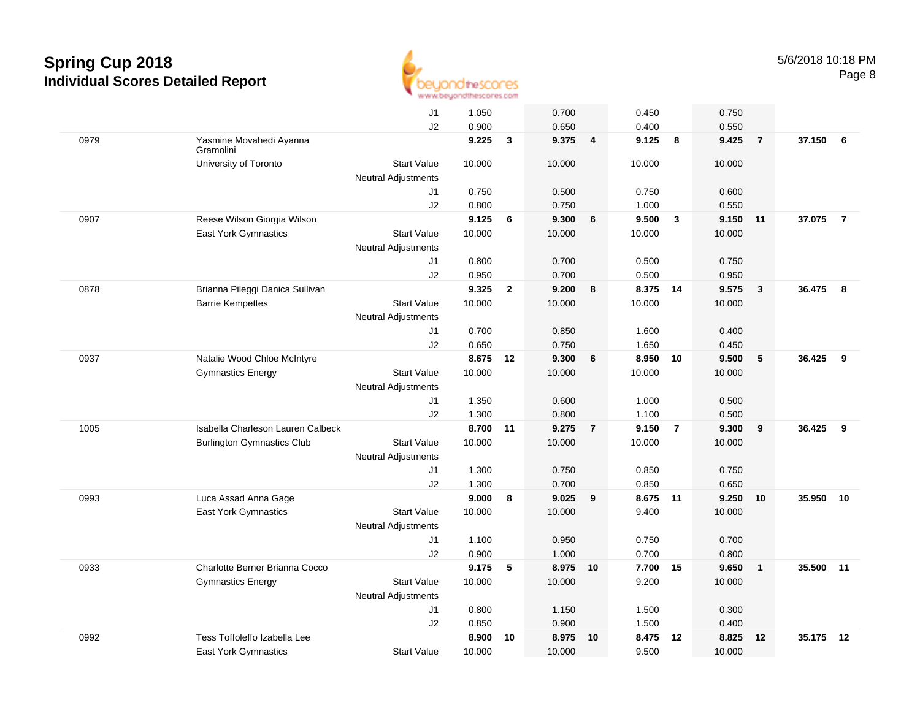

|      |                                      | J1                         | 1.050  |                | 0.700    |                         | 0.450    |                | 0.750  |                |        |                |
|------|--------------------------------------|----------------------------|--------|----------------|----------|-------------------------|----------|----------------|--------|----------------|--------|----------------|
|      |                                      | J2                         | 0.900  |                | 0.650    |                         | 0.400    |                | 0.550  |                |        |                |
| 0979 | Yasmine Movahedi Ayanna<br>Gramolini |                            | 9.225  | 3              | 9.375    | $\overline{\mathbf{4}}$ | 9.125    | 8              | 9.425  | $\overline{7}$ | 37.150 | 6              |
|      | University of Toronto                | <b>Start Value</b>         | 10.000 |                | 10.000   |                         | 10.000   |                | 10.000 |                |        |                |
|      |                                      | <b>Neutral Adjustments</b> |        |                |          |                         |          |                |        |                |        |                |
|      |                                      | J1                         | 0.750  |                | 0.500    |                         | 0.750    |                | 0.600  |                |        |                |
|      |                                      | J2                         | 0.800  |                | 0.750    |                         | 1.000    |                | 0.550  |                |        |                |
| 0907 | Reese Wilson Giorgia Wilson          |                            | 9.125  | 6              | 9.300    | 6                       | 9.500    | $\mathbf{3}$   | 9.150  | 11             | 37.075 | $\overline{7}$ |
|      | East York Gymnastics                 | <b>Start Value</b>         | 10.000 |                | 10.000   |                         | 10.000   |                | 10.000 |                |        |                |
|      |                                      | <b>Neutral Adjustments</b> |        |                |          |                         |          |                |        |                |        |                |
|      |                                      | J1                         | 0.800  |                | 0.700    |                         | 0.500    |                | 0.750  |                |        |                |
|      |                                      | J2                         | 0.950  |                | 0.700    |                         | 0.500    |                | 0.950  |                |        |                |
| 0878 | Brianna Pileggi Danica Sullivan      |                            | 9.325  | $\overline{2}$ | 9.200    | 8                       | 8.375 14 |                | 9.575  | 3              | 36.475 | 8              |
|      | <b>Barrie Kempettes</b>              | <b>Start Value</b>         | 10.000 |                | 10.000   |                         | 10.000   |                | 10.000 |                |        |                |
|      |                                      | <b>Neutral Adjustments</b> |        |                |          |                         |          |                |        |                |        |                |
|      |                                      | J1                         | 0.700  |                | 0.850    |                         | 1.600    |                | 0.400  |                |        |                |
|      |                                      | J2                         | 0.650  |                | 0.750    |                         | 1.650    |                | 0.450  |                |        |                |
| 0937 | Natalie Wood Chloe McIntyre          |                            | 8.675  | 12             | 9.300    | 6                       | 8.950    | 10             | 9.500  | 5              | 36.425 | 9              |
|      | <b>Gymnastics Energy</b>             | <b>Start Value</b>         | 10.000 |                | 10.000   |                         | 10.000   |                | 10.000 |                |        |                |
|      |                                      | Neutral Adjustments        |        |                |          |                         |          |                |        |                |        |                |
|      |                                      | J1                         | 1.350  |                | 0.600    |                         | 1.000    |                | 0.500  |                |        |                |
|      |                                      | J2                         | 1.300  |                | 0.800    |                         | 1.100    |                | 0.500  |                |        |                |
| 1005 | Isabella Charleson Lauren Calbeck    |                            | 8.700  | 11             | 9.275    | $\overline{7}$          | 9.150    | $\overline{7}$ | 9.300  | 9              | 36.425 | 9              |
|      | <b>Burlington Gymnastics Club</b>    | <b>Start Value</b>         | 10.000 |                | 10.000   |                         | 10.000   |                | 10.000 |                |        |                |
|      |                                      | <b>Neutral Adjustments</b> |        |                |          |                         |          |                |        |                |        |                |
|      |                                      | J1                         | 1.300  |                | 0.750    |                         | 0.850    |                | 0.750  |                |        |                |
|      |                                      | J2                         | 1.300  |                | 0.700    |                         | 0.850    |                | 0.650  |                |        |                |
| 0993 | Luca Assad Anna Gage                 |                            | 9.000  | 8              | 9.025    | 9                       | 8.675    | $-11$          | 9.250  | 10             | 35.950 | 10             |
|      | East York Gymnastics                 | <b>Start Value</b>         | 10.000 |                | 10.000   |                         | 9.400    |                | 10.000 |                |        |                |
|      |                                      | <b>Neutral Adjustments</b> |        |                |          |                         |          |                |        |                |        |                |
|      |                                      | J1                         | 1.100  |                | 0.950    |                         | 0.750    |                | 0.700  |                |        |                |
|      |                                      | J2                         | 0.900  |                | 1.000    |                         | 0.700    |                | 0.800  |                |        |                |
| 0933 | Charlotte Berner Brianna Cocco       |                            | 9.175  | 5              | 8.975 10 |                         | 7.700    | 15             | 9.650  | $\mathbf{1}$   | 35.500 | 11             |
|      | <b>Gymnastics Energy</b>             | <b>Start Value</b>         | 10.000 |                | 10.000   |                         | 9.200    |                | 10.000 |                |        |                |
|      |                                      | Neutral Adjustments        |        |                |          |                         |          |                |        |                |        |                |
|      |                                      | J1                         | 0.800  |                | 1.150    |                         | 1.500    |                | 0.300  |                |        |                |
|      |                                      | J2                         | 0.850  |                | 0.900    |                         | 1.500    |                | 0.400  |                |        |                |
| 0992 | Tess Toffoleffo Izabella Lee         |                            | 8.900  | 10             | 8.975    | 10                      | 8.475    | 12             | 8.825  | 12             | 35.175 | 12             |
|      | East York Gymnastics                 | <b>Start Value</b>         | 10.000 |                | 10.000   |                         | 9.500    |                | 10.000 |                |        |                |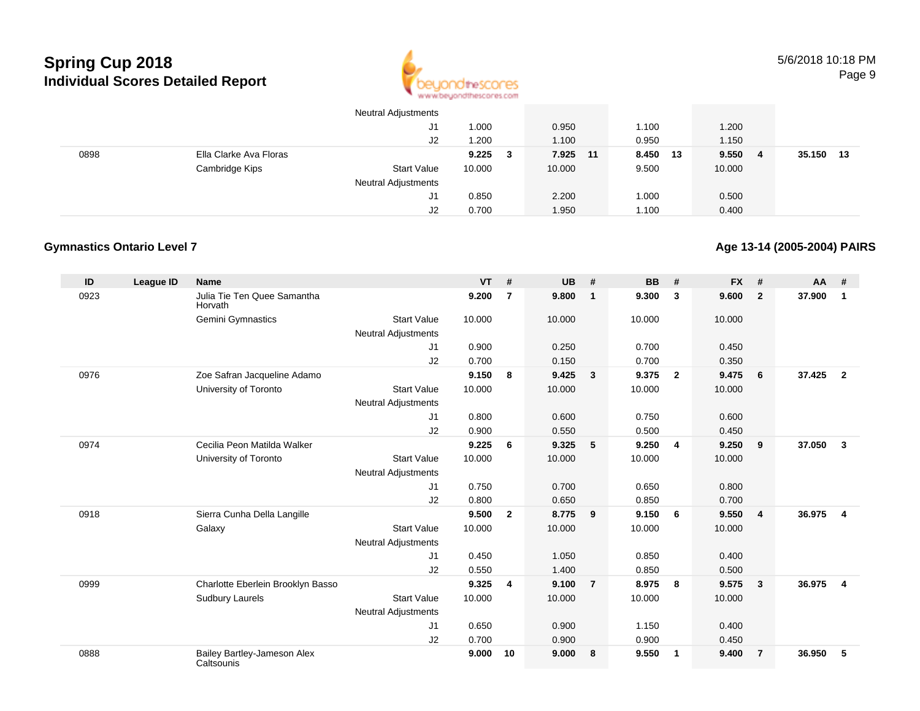

|      |                        | <b>Neutral Adjustments</b> |              |          |          |              |                |
|------|------------------------|----------------------------|--------------|----------|----------|--------------|----------------|
|      |                        | J1                         | 1.000        | 0.950    | 1.100    | 1.200        |                |
|      |                        | J2                         | 1.200        | 1.100    | 0.950    | 1.150        |                |
| 0898 | Ella Clarke Ava Floras |                            | 9.225<br>- 3 | 7.925 11 | 8.450 13 | 9.550<br>- 4 | 35.150<br>- 13 |
|      | Cambridge Kips         | <b>Start Value</b>         | 10.000       | 10.000   | 9.500    | 10.000       |                |
|      |                        | <b>Neutral Adjustments</b> |              |          |          |              |                |
|      |                        | J1                         | 0.850        | 2.200    | 1.000    | 0.500        |                |
|      |                        | J2                         | 0.700        | 1.950    | 1.100    | 0.400        |                |

### **Gymnastics Ontario Level 7**

**Age 13-14 (2005-2004) PAIRS**

| ID   | <b>League ID</b> | <b>Name</b>                               |                            | <b>VT</b> | #                       | <b>UB</b> | #                       | <b>BB</b> | #              | <b>FX</b> | #              | <b>AA</b> | #                       |
|------|------------------|-------------------------------------------|----------------------------|-----------|-------------------------|-----------|-------------------------|-----------|----------------|-----------|----------------|-----------|-------------------------|
| 0923 |                  | Julia Tie Ten Quee Samantha<br>Horvath    |                            | 9.200     | $\overline{7}$          | 9.800     | $\overline{\mathbf{1}}$ | 9.300     | 3              | 9.600     | $\overline{2}$ | 37.900    | $\mathbf{1}$            |
|      |                  | Gemini Gymnastics                         | <b>Start Value</b>         | 10.000    |                         | 10.000    |                         | 10.000    |                | 10.000    |                |           |                         |
|      |                  |                                           | <b>Neutral Adjustments</b> |           |                         |           |                         |           |                |           |                |           |                         |
|      |                  |                                           | J1                         | 0.900     |                         | 0.250     |                         | 0.700     |                | 0.450     |                |           |                         |
|      |                  |                                           | J2                         | 0.700     |                         | 0.150     |                         | 0.700     |                | 0.350     |                |           |                         |
| 0976 |                  | Zoe Safran Jacqueline Adamo               |                            | 9.150     | 8                       | 9.425     | $\overline{\mathbf{3}}$ | 9.375     | $\overline{2}$ | 9.475     | 6              | 37.425    | $\overline{\mathbf{2}}$ |
|      |                  | University of Toronto                     | <b>Start Value</b>         | 10.000    |                         | 10.000    |                         | 10.000    |                | 10.000    |                |           |                         |
|      |                  |                                           | <b>Neutral Adjustments</b> |           |                         |           |                         |           |                |           |                |           |                         |
|      |                  |                                           | J1                         | 0.800     |                         | 0.600     |                         | 0.750     |                | 0.600     |                |           |                         |
|      |                  |                                           | J2                         | 0.900     |                         | 0.550     |                         | 0.500     |                | 0.450     |                |           |                         |
| 0974 |                  | Cecilia Peon Matilda Walker               |                            | 9.225     | 6                       | 9.325     | 5                       | 9.250     | $\overline{4}$ | 9.250     | 9              | 37.050    | $\mathbf{3}$            |
|      |                  | University of Toronto                     | <b>Start Value</b>         | 10.000    |                         | 10.000    |                         | 10.000    |                | 10.000    |                |           |                         |
|      |                  |                                           | Neutral Adjustments        |           |                         |           |                         |           |                |           |                |           |                         |
|      |                  |                                           | J1                         | 0.750     |                         | 0.700     |                         | 0.650     |                | 0.800     |                |           |                         |
|      |                  |                                           | J2                         | 0.800     |                         | 0.650     |                         | 0.850     |                | 0.700     |                |           |                         |
| 0918 |                  | Sierra Cunha Della Langille               |                            | 9.500     | $\mathbf{2}$            | 8.775     | 9                       | 9.150     | 6              | 9.550     | $\overline{4}$ | 36.975    | $\overline{4}$          |
|      |                  | Galaxy                                    | <b>Start Value</b>         | 10.000    |                         | 10.000    |                         | 10.000    |                | 10.000    |                |           |                         |
|      |                  |                                           | <b>Neutral Adjustments</b> |           |                         |           |                         |           |                |           |                |           |                         |
|      |                  |                                           | J1                         | 0.450     |                         | 1.050     |                         | 0.850     |                | 0.400     |                |           |                         |
|      |                  |                                           | J2                         | 0.550     |                         | 1.400     |                         | 0.850     |                | 0.500     |                |           |                         |
| 0999 |                  | Charlotte Eberlein Brooklyn Basso         |                            | 9.325     | $\overline{\mathbf{4}}$ | 9.100     | $\overline{7}$          | 8.975     | 8              | 9.575     | 3              | 36.975    | $\overline{4}$          |
|      |                  | <b>Sudbury Laurels</b>                    | <b>Start Value</b>         | 10.000    |                         | 10.000    |                         | 10.000    |                | 10.000    |                |           |                         |
|      |                  |                                           | <b>Neutral Adjustments</b> |           |                         |           |                         |           |                |           |                |           |                         |
|      |                  |                                           | J <sub>1</sub>             | 0.650     |                         | 0.900     |                         | 1.150     |                | 0.400     |                |           |                         |
|      |                  |                                           | J2                         | 0.700     |                         | 0.900     |                         | 0.900     |                | 0.450     |                |           |                         |
| 0888 |                  | Bailey Bartley-Jameson Alex<br>Caltsounis |                            | 9.000     | 10                      | 9.000     | 8                       | 9.550     | $\mathbf 1$    | 9.400     | $\overline{7}$ | 36.950    | 5                       |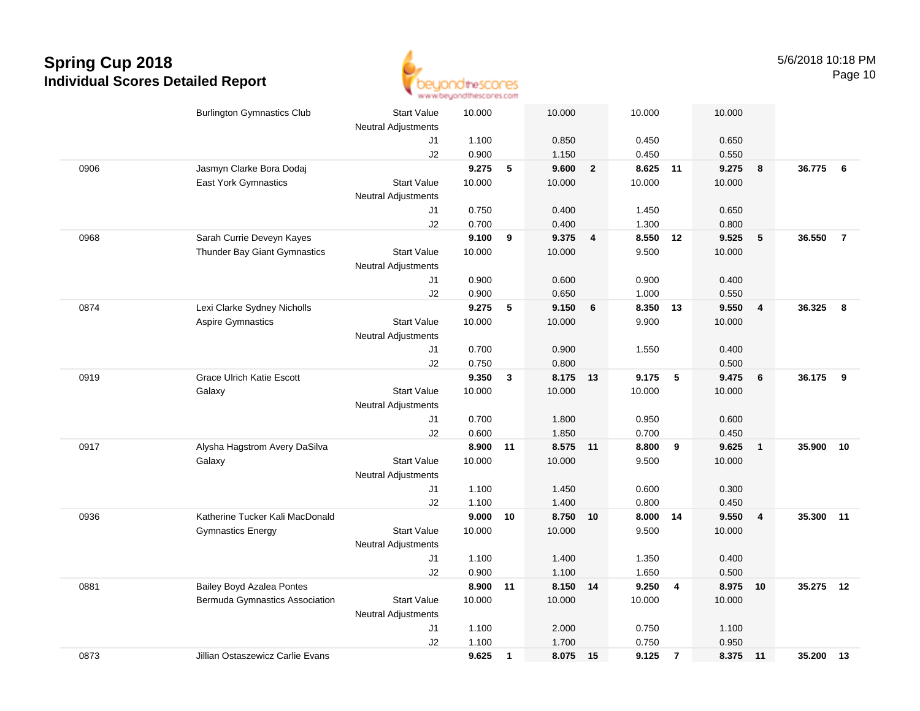

|      | <b>Burlington Gymnastics Club</b> | <b>Start Value</b>         | 10.000 |              | 10.000   |                | 10.000   |                | 10.000   |                         |           |                |
|------|-----------------------------------|----------------------------|--------|--------------|----------|----------------|----------|----------------|----------|-------------------------|-----------|----------------|
|      |                                   | <b>Neutral Adjustments</b> |        |              |          |                |          |                |          |                         |           |                |
|      |                                   | J1                         | 1.100  |              | 0.850    |                | 0.450    |                | 0.650    |                         |           |                |
|      |                                   | J2                         | 0.900  |              | 1.150    |                | 0.450    |                | 0.550    |                         |           |                |
| 0906 | Jasmyn Clarke Bora Dodaj          |                            | 9.275  | 5            | 9.600    | $\overline{2}$ | 8.625    | 11             | 9.275    | 8                       | 36.775    | - 6            |
|      | <b>East York Gymnastics</b>       | <b>Start Value</b>         | 10.000 |              | 10.000   |                | 10.000   |                | 10.000   |                         |           |                |
|      |                                   | <b>Neutral Adjustments</b> |        |              |          |                |          |                |          |                         |           |                |
|      |                                   | J1                         | 0.750  |              | 0.400    |                | 1.450    |                | 0.650    |                         |           |                |
|      |                                   | J2                         | 0.700  |              | 0.400    |                | 1.300    |                | 0.800    |                         |           |                |
| 0968 | Sarah Currie Deveyn Kayes         |                            | 9.100  | 9            | 9.375    | 4              | 8.550    | 12             | 9.525    | 5                       | 36.550    | $\overline{7}$ |
|      | Thunder Bay Giant Gymnastics      | <b>Start Value</b>         | 10.000 |              | 10.000   |                | 9.500    |                | 10.000   |                         |           |                |
|      |                                   | <b>Neutral Adjustments</b> |        |              |          |                |          |                |          |                         |           |                |
|      |                                   | J1                         | 0.900  |              | 0.600    |                | 0.900    |                | 0.400    |                         |           |                |
|      |                                   | J2                         | 0.900  |              | 0.650    |                | 1.000    |                | 0.550    |                         |           |                |
| 0874 | Lexi Clarke Sydney Nicholls       |                            | 9.275  | 5            | 9.150    | 6              | 8.350 13 |                | 9.550    | $\overline{4}$          | 36.325    | 8              |
|      | <b>Aspire Gymnastics</b>          | <b>Start Value</b>         | 10.000 |              | 10.000   |                | 9.900    |                | 10.000   |                         |           |                |
|      |                                   | <b>Neutral Adjustments</b> |        |              |          |                |          |                |          |                         |           |                |
|      |                                   | J1                         | 0.700  |              | 0.900    |                | 1.550    |                | 0.400    |                         |           |                |
|      |                                   | J2                         | 0.750  |              | 0.800    |                |          |                | 0.500    |                         |           |                |
| 0919 | <b>Grace Ulrich Katie Escott</b>  |                            | 9.350  | 3            | 8.175    | 13             | 9.175    | 5              | 9.475    | $6\phantom{1}$          | 36.175    | -9             |
|      | Galaxy                            | <b>Start Value</b>         | 10.000 |              | 10.000   |                | 10.000   |                | 10.000   |                         |           |                |
|      |                                   | <b>Neutral Adjustments</b> |        |              |          |                |          |                |          |                         |           |                |
|      |                                   | J1                         | 0.700  |              | 1.800    |                | 0.950    |                | 0.600    |                         |           |                |
|      |                                   | J2                         | 0.600  |              | 1.850    |                | 0.700    |                | 0.450    |                         |           |                |
| 0917 | Alysha Hagstrom Avery DaSilva     |                            | 8.900  | 11           | 8.575 11 |                | 8.800    | 9              | 9.625    | $\overline{\mathbf{1}}$ | 35.900    | 10             |
|      | Galaxy                            | <b>Start Value</b>         | 10.000 |              | 10.000   |                | 9.500    |                | 10.000   |                         |           |                |
|      |                                   | <b>Neutral Adjustments</b> |        |              |          |                |          |                |          |                         |           |                |
|      |                                   | J1                         | 1.100  |              | 1.450    |                | 0.600    |                | 0.300    |                         |           |                |
|      |                                   | J2                         | 1.100  |              | 1.400    |                | 0.800    |                | 0.450    |                         |           |                |
| 0936 | Katherine Tucker Kali MacDonald   |                            | 9.000  | 10           | 8.750 10 |                | 8.000 14 |                | 9.550    | $\overline{4}$          | 35.300 11 |                |
|      | <b>Gymnastics Energy</b>          | <b>Start Value</b>         | 10.000 |              | 10.000   |                | 9.500    |                | 10.000   |                         |           |                |
|      |                                   | <b>Neutral Adjustments</b> |        |              |          |                |          |                |          |                         |           |                |
|      |                                   | J1                         | 1.100  |              | 1.400    |                | 1.350    |                | 0.400    |                         |           |                |
|      |                                   | J2                         | 0.900  |              | 1.100    |                | 1.650    |                | 0.500    |                         |           |                |
| 0881 | <b>Bailey Boyd Azalea Pontes</b>  |                            | 8.900  | 11           | 8.150 14 |                | 9.250    | $\overline{4}$ | 8.975 10 |                         | 35.275    | 12             |
|      | Bermuda Gymnastics Association    | <b>Start Value</b>         | 10.000 |              | 10.000   |                | 10.000   |                | 10.000   |                         |           |                |
|      |                                   | <b>Neutral Adjustments</b> |        |              |          |                |          |                |          |                         |           |                |
|      |                                   | J1                         | 1.100  |              | 2.000    |                | 0.750    |                | 1.100    |                         |           |                |
|      |                                   | J2                         | 1.100  |              | 1.700    |                | 0.750    |                | 0.950    |                         |           |                |
| 0873 | Jillian Ostaszewicz Carlie Evans  |                            | 9.625  | $\mathbf{1}$ | 8.075    | 15             | 9.125    | $\overline{7}$ | 8.375 11 |                         | 35.200    | 13             |
|      |                                   |                            |        |              |          |                |          |                |          |                         |           |                |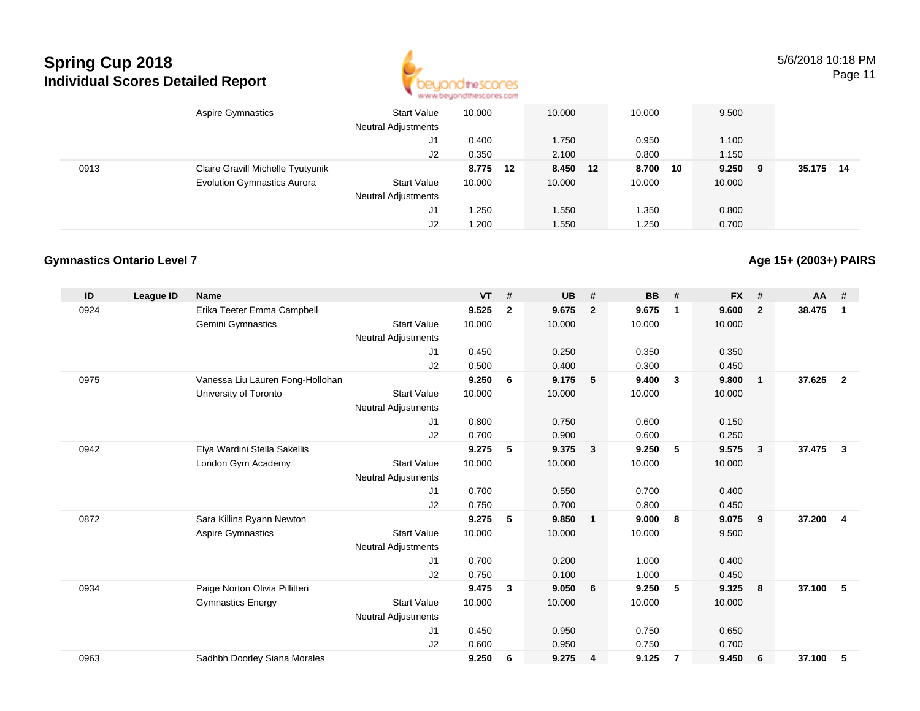

5/6/2018 10:18 PMPage 11

Aspire Gymnastics Start Valuee 10.000 10.000 10.000 9.500 Neutral Adjustments J1 0.400 1.750 0.950 1.100 J2 0.350 2.100 0.800 1.150 0913 Claire Gravill Michelle Tyutyunik **8.775 <sup>12</sup> 8.450 <sup>12</sup> 8.700 <sup>10</sup> 9.250 <sup>9</sup> 35.175 <sup>14</sup>** Evolution Gymnastics Aurora Start Value 10.000 10.000 10.000 10.000 Neutral Adjustments J1 1.250 1.550 1.350 0.800 J21.200 1.550 1.250 0.700

#### **Gymnastics Ontario Level 7**

**Age 15+ (2003+) PAIRS**

| ID   | League ID | <b>Name</b>                      |                            | $VT$ # |              | <b>UB</b> | #                       | <b>BB</b> | #            | <b>FX</b> | #            | $AA$ # |                |
|------|-----------|----------------------------------|----------------------------|--------|--------------|-----------|-------------------------|-----------|--------------|-----------|--------------|--------|----------------|
| 0924 |           | Erika Teeter Emma Campbell       |                            | 9.525  | $\mathbf{2}$ | 9.675     | $\overline{2}$          | 9.675     | $\mathbf{1}$ | 9.600     | $\mathbf{2}$ | 38.475 | $\mathbf 1$    |
|      |           | <b>Gemini Gymnastics</b>         | <b>Start Value</b>         | 10.000 |              | 10.000    |                         | 10.000    |              | 10.000    |              |        |                |
|      |           |                                  | <b>Neutral Adjustments</b> |        |              |           |                         |           |              |           |              |        |                |
|      |           |                                  | J <sub>1</sub>             | 0.450  |              | 0.250     |                         | 0.350     |              | 0.350     |              |        |                |
|      |           |                                  | J2                         | 0.500  |              | 0.400     |                         | 0.300     |              | 0.450     |              |        |                |
| 0975 |           | Vanessa Liu Lauren Fong-Hollohan |                            | 9.250  | 6            | 9.175     | 5                       | 9.400     | 3            | 9.800     | 1            | 37.625 | $\overline{2}$ |
|      |           | University of Toronto            | <b>Start Value</b>         | 10.000 |              | 10.000    |                         | 10.000    |              | 10.000    |              |        |                |
|      |           |                                  | <b>Neutral Adjustments</b> |        |              |           |                         |           |              |           |              |        |                |
|      |           |                                  | J1                         | 0.800  |              | 0.750     |                         | 0.600     |              | 0.150     |              |        |                |
|      |           |                                  | J2                         | 0.700  |              | 0.900     |                         | 0.600     |              | 0.250     |              |        |                |
| 0942 |           | Elya Wardini Stella Sakellis     |                            | 9.275  | 5            | 9.375     | $\overline{\mathbf{3}}$ | 9.250     | 5            | 9.575     | 3            | 37.475 | 3              |
|      |           | London Gym Academy               | <b>Start Value</b>         | 10.000 |              | 10.000    |                         | 10.000    |              | 10.000    |              |        |                |
|      |           |                                  | <b>Neutral Adjustments</b> |        |              |           |                         |           |              |           |              |        |                |
|      |           |                                  | J1                         | 0.700  |              | 0.550     |                         | 0.700     |              | 0.400     |              |        |                |
|      |           |                                  | J2                         | 0.750  |              | 0.700     |                         | 0.800     |              | 0.450     |              |        |                |
| 0872 |           | Sara Killins Ryann Newton        |                            | 9.275  | 5            | 9.850     | $\overline{1}$          | 9.000     | 8            | 9.075     | 9            | 37.200 | 4              |
|      |           | <b>Aspire Gymnastics</b>         | <b>Start Value</b>         | 10.000 |              | 10.000    |                         | 10.000    |              | 9.500     |              |        |                |
|      |           |                                  | <b>Neutral Adjustments</b> |        |              |           |                         |           |              |           |              |        |                |
|      |           |                                  | J1                         | 0.700  |              | 0.200     |                         | 1.000     |              | 0.400     |              |        |                |
|      |           |                                  | J2                         | 0.750  |              | 0.100     |                         | 1.000     |              | 0.450     |              |        |                |
| 0934 |           | Paige Norton Olivia Pillitteri   |                            | 9.475  | 3            | 9.050     | 6                       | 9.250     | 5            | 9.325     | 8            | 37.100 | 5              |
|      |           | <b>Gymnastics Energy</b>         | <b>Start Value</b>         | 10.000 |              | 10.000    |                         | 10.000    |              | 10.000    |              |        |                |
|      |           |                                  | <b>Neutral Adjustments</b> |        |              |           |                         |           |              |           |              |        |                |
|      |           |                                  | J <sub>1</sub>             | 0.450  |              | 0.950     |                         | 0.750     |              | 0.650     |              |        |                |
|      |           |                                  | J <sub>2</sub>             | 0.600  |              | 0.950     |                         | 0.750     |              | 0.700     |              |        |                |
| 0963 |           | Sadhbh Doorley Siana Morales     |                            | 9.250  | 6            | 9.275     | $\overline{\mathbf{4}}$ | 9.125     | 7            | 9.450     | 6            | 37.100 | 5              |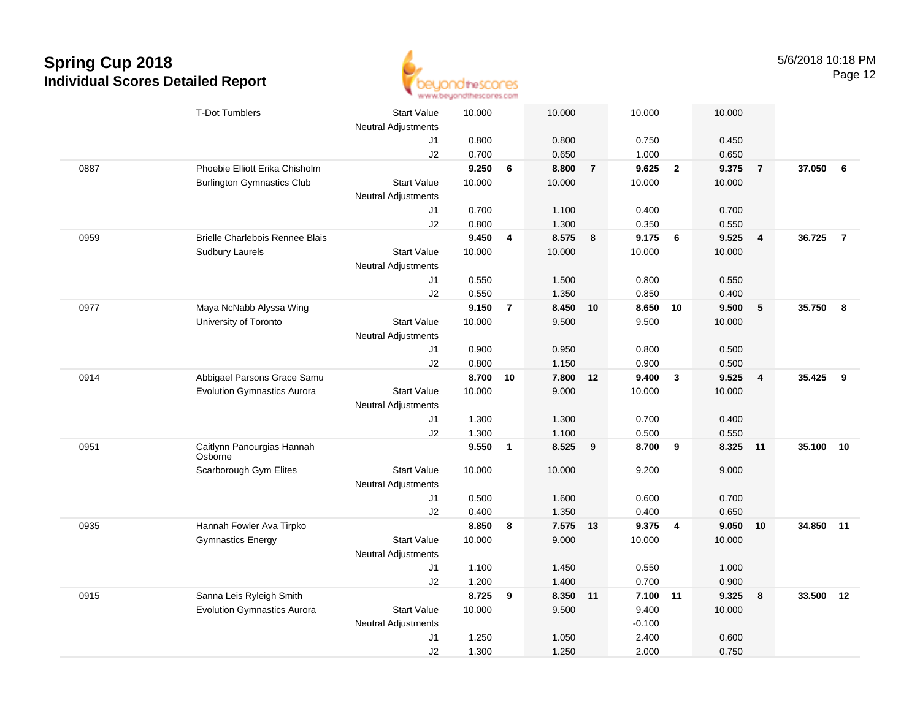

|      | <b>T-Dot Tumblers</b>                  | <b>Start Value</b>         | 10.000 |                | 10.000   |                | 10.000   |                         | 10.000 |                         |           |                |
|------|----------------------------------------|----------------------------|--------|----------------|----------|----------------|----------|-------------------------|--------|-------------------------|-----------|----------------|
|      |                                        | <b>Neutral Adjustments</b> |        |                |          |                |          |                         |        |                         |           |                |
|      |                                        | J1                         | 0.800  |                | 0.800    |                | 0.750    |                         | 0.450  |                         |           |                |
|      |                                        | J2                         | 0.700  |                | 0.650    |                | 1.000    |                         | 0.650  |                         |           |                |
| 0887 | Phoebie Elliott Erika Chisholm         |                            | 9.250  | 6              | 8.800    | $\overline{7}$ | 9.625    | $\overline{2}$          | 9.375  | $\overline{7}$          | 37.050    | 6              |
|      | <b>Burlington Gymnastics Club</b>      | <b>Start Value</b>         | 10.000 |                | 10.000   |                | 10.000   |                         | 10.000 |                         |           |                |
|      |                                        | Neutral Adjustments        |        |                |          |                |          |                         |        |                         |           |                |
|      |                                        | J1                         | 0.700  |                | 1.100    |                | 0.400    |                         | 0.700  |                         |           |                |
|      |                                        | J2                         | 0.800  |                | 1.300    |                | 0.350    |                         | 0.550  |                         |           |                |
| 0959 | <b>Brielle Charlebois Rennee Blais</b> |                            | 9.450  | 4              | 8.575    | 8              | 9.175    | 6                       | 9.525  | $\overline{4}$          | 36.725    | $\overline{7}$ |
|      | <b>Sudbury Laurels</b>                 | <b>Start Value</b>         | 10.000 |                | 10.000   |                | 10.000   |                         | 10.000 |                         |           |                |
|      |                                        | <b>Neutral Adjustments</b> |        |                |          |                |          |                         |        |                         |           |                |
|      |                                        | J1                         | 0.550  |                | 1.500    |                | 0.800    |                         | 0.550  |                         |           |                |
|      |                                        | J2                         | 0.550  |                | 1.350    |                | 0.850    |                         | 0.400  |                         |           |                |
| 0977 | Maya NcNabb Alyssa Wing                |                            | 9.150  | $\overline{7}$ | 8.450    | 10             | 8.650 10 |                         | 9.500  | $5\phantom{.0}$         | 35.750    | 8              |
|      | University of Toronto                  | <b>Start Value</b>         | 10.000 |                | 9.500    |                | 9.500    |                         | 10.000 |                         |           |                |
|      |                                        | <b>Neutral Adjustments</b> |        |                |          |                |          |                         |        |                         |           |                |
|      |                                        | J1                         | 0.900  |                | 0.950    |                | 0.800    |                         | 0.500  |                         |           |                |
|      |                                        | J2                         | 0.800  |                | 1.150    |                | 0.900    |                         | 0.500  |                         |           |                |
| 0914 | Abbigael Parsons Grace Samu            |                            | 8.700  | 10             | 7.800 12 |                | 9.400    | $\overline{\mathbf{3}}$ | 9.525  | $\overline{\mathbf{4}}$ | 35.425    | 9              |
|      | <b>Evolution Gymnastics Aurora</b>     | <b>Start Value</b>         | 10.000 |                | 9.000    |                | 10.000   |                         | 10.000 |                         |           |                |
|      |                                        | <b>Neutral Adjustments</b> |        |                |          |                |          |                         |        |                         |           |                |
|      |                                        | J1                         | 1.300  |                | 1.300    |                | 0.700    |                         | 0.400  |                         |           |                |
|      |                                        | J2                         | 1.300  |                | 1.100    |                | 0.500    |                         | 0.550  |                         |           |                |
| 0951 | Caitlynn Panourgias Hannah<br>Osborne  |                            | 9.550  | $\mathbf{1}$   | 8.525    | 9              | 8.700    | 9                       | 8.325  | 11                      | 35.100    | 10             |
|      | Scarborough Gym Elites                 | <b>Start Value</b>         | 10.000 |                | 10.000   |                | 9.200    |                         | 9.000  |                         |           |                |
|      |                                        | <b>Neutral Adjustments</b> |        |                |          |                |          |                         |        |                         |           |                |
|      |                                        | J1                         | 0.500  |                | 1.600    |                | 0.600    |                         | 0.700  |                         |           |                |
|      |                                        | J2                         | 0.400  |                | 1.350    |                | 0.400    |                         | 0.650  |                         |           |                |
| 0935 | Hannah Fowler Ava Tirpko               |                            | 8.850  | 8              | 7.575 13 |                | 9.375    | $\overline{\mathbf{4}}$ | 9.050  | 10                      | 34.850 11 |                |
|      | <b>Gymnastics Energy</b>               | <b>Start Value</b>         | 10.000 |                | 9.000    |                | 10.000   |                         | 10.000 |                         |           |                |
|      |                                        | <b>Neutral Adjustments</b> |        |                |          |                |          |                         |        |                         |           |                |
|      |                                        | J1                         | 1.100  |                | 1.450    |                | 0.550    |                         | 1.000  |                         |           |                |
|      |                                        | J2                         | 1.200  |                | 1.400    |                | 0.700    |                         | 0.900  |                         |           |                |
| 0915 | Sanna Leis Ryleigh Smith               |                            | 8.725  | 9              | 8.350 11 |                | 7.100 11 |                         | 9.325  | 8                       | 33.500    | 12             |
|      | <b>Evolution Gymnastics Aurora</b>     | <b>Start Value</b>         | 10.000 |                | 9.500    |                | 9.400    |                         | 10.000 |                         |           |                |
|      |                                        | <b>Neutral Adjustments</b> |        |                |          |                | $-0.100$ |                         |        |                         |           |                |
|      |                                        | J1                         | 1.250  |                | 1.050    |                | 2.400    |                         | 0.600  |                         |           |                |
|      |                                        | J2                         | 1.300  |                | 1.250    |                | 2.000    |                         | 0.750  |                         |           |                |
|      |                                        |                            |        |                |          |                |          |                         |        |                         |           |                |